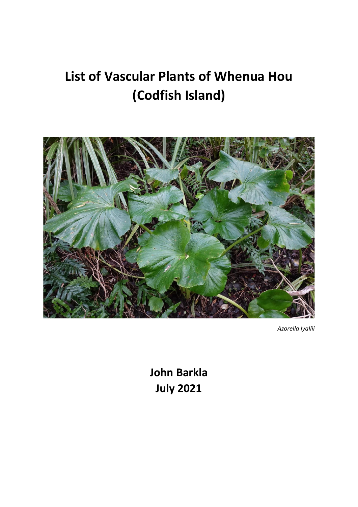# **List of Vascular Plants of Whenua Hou (Codfish Island)**



*Azorella lyallii*

**John Barkla July 2021**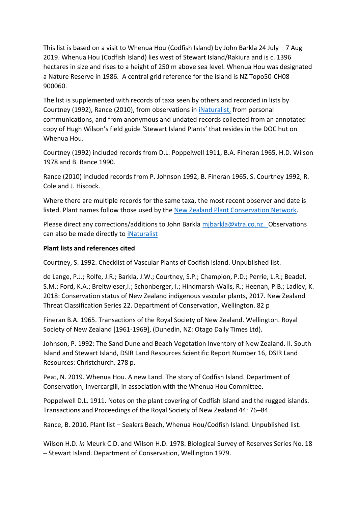This list is based on a visit to Whenua Hou (Codfish Island) by John Barkla 24 July – 7 Aug 2019. Whenua Hou (Codfish Island) lies west of Stewart Island/Rakiura and is c. 1396 hectares in size and rises to a height of 250 m above sea level. Whenua Hou was designated a Nature Reserve in 1986. A central grid reference for the island is NZ Topo50-CH08 900060.

The list is supplemented with records of taxa seen by others and recorded in lists by Courtney (1992), Rance (2010), from observations in [iNaturalist,](https://inaturalist.nz/observations) from personal communications, and from anonymous and undated records collected from an annotated copy of Hugh Wilson's field guide 'Stewart Island Plants' that resides in the DOC hut on Whenua Hou.

Courtney (1992) included records from D.L. Poppelwell 1911, B.A. Fineran 1965, H.D. Wilson 1978 and B. Rance 1990.

Rance (2010) included records from P. Johnson 1992, B. Fineran 1965, S. Courtney 1992, R. Cole and J. Hiscock.

Where there are multiple records for the same taxa, the most recent observer and date is listed. Plant names follow those used by the [New Zealand Plant Conservation Network.](https://www.nzpcn.org.nz/)

Please direct any corrections/additions to John Barkla [mjbarkla@xtra.co.nz.](mailto:mjbarkla@xtra.co.nz) Observations can also be made directly to [iNaturalist](https://inaturalist.nz/observations)

### **Plant lists and references cited**

Courtney, S. 1992. Checklist of Vascular Plants of Codfish Island. Unpublished list.

de Lange, P.J.; Rolfe, J.R.; Barkla, J.W.; Courtney, S.P.; Champion, P.D.; Perrie, L.R.; Beadel, S.M.; Ford, K.A.; Breitwieser,I.; Schonberger, I.; Hindmarsh-Walls, R.; Heenan, P.B.; Ladley, K. 2018: Conservation status of New Zealand indigenous vascular plants, 2017. New Zealand Threat Classification Series 22. Department of Conservation, Wellington. 82 p

Fineran B.A. 1965. Transactions of the Royal Society of New Zealand. Wellington. Royal Society of New Zealand [1961-1969], (Dunedin, NZ: Otago Daily Times Ltd).

Johnson, P. 1992: The Sand Dune and Beach Vegetation Inventory of New Zealand. II. South Island and Stewart Island, DSIR Land Resources Scientific Report Number 16, DSIR Land Resources: Christchurch. 278 p.

Peat, N. 2019. Whenua Hou. A new Land. The story of Codfish Island. Department of Conservation, Invercargill, in association with the Whenua Hou Committee.

Poppelwell D.L. 1911. Notes on the plant covering of Codfish Island and the rugged islands. Transactions and Proceedings of the Royal Society of New Zealand 44: 76–84.

Rance, B. 2010. Plant list – Sealers Beach, Whenua Hou/Codfish Island. Unpublished list.

Wilson H.D. *in* Meurk C.D. and Wilson H.D. 1978. Biological Survey of Reserves Series No. 18 – Stewart Island. Department of Conservation, Wellington 1979.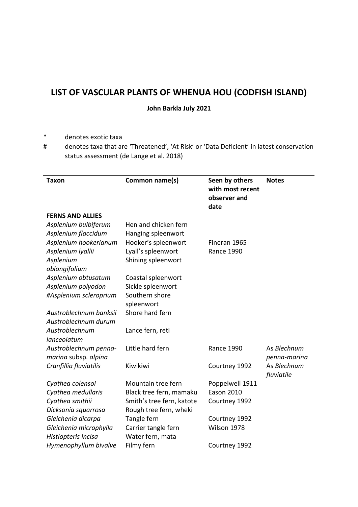## **LIST OF VASCULAR PLANTS OF WHENUA HOU (CODFISH ISLAND)**

**John Barkla July 2021**

- \* denotes exotic taxa
- # denotes taxa that are 'Threatened', 'At Risk' or 'Data Deficient' in latest conservation status assessment (de Lange et al. 2018)

| <b>Taxon</b>                              | Common name(s)                          | Seen by others<br>with most recent<br>observer and<br>date | <b>Notes</b> |
|-------------------------------------------|-----------------------------------------|------------------------------------------------------------|--------------|
| <b>FERNS AND ALLIES</b>                   |                                         |                                                            |              |
| Asplenium bulbiferum                      | Hen and chicken fern                    |                                                            |              |
| Asplenium flaccidum                       | Hanging spleenwort                      |                                                            |              |
| Asplenium hookerianum                     | Hooker's spleenwort                     | Fineran 1965                                               |              |
| Asplenium Iyallii                         | Lyall's spleenwort                      | <b>Rance 1990</b>                                          |              |
| Asplenium                                 | Shining spleenwort                      |                                                            |              |
| oblongifolium                             |                                         |                                                            |              |
| Asplenium obtusatum<br>Asplenium polyodon | Coastal spleenwort<br>Sickle spleenwort |                                                            |              |
| #Asplenium scleroprium                    | Southern shore                          |                                                            |              |
|                                           | spleenwort                              |                                                            |              |
| Austroblechnum banksii                    | Shore hard fern                         |                                                            |              |
| Austroblechnum durum                      |                                         |                                                            |              |
| Austroblechnum                            | Lance fern, reti                        |                                                            |              |
| lanceolatum                               |                                         |                                                            |              |
| Austroblechnum penna-                     | Little hard fern                        | <b>Rance 1990</b>                                          | As Blechnum  |
| marina subsp. alpina                      |                                         |                                                            | penna-marina |
| Cranfillia fluviatilis                    | Kiwikiwi                                | Courtney 1992                                              | As Blechnum  |
|                                           |                                         |                                                            | fluviatile   |
| Cyathea colensoi                          | Mountain tree fern                      | Poppelwell 1911                                            |              |
| Cyathea medullaris                        | Black tree fern, mamaku                 | <b>Eason 2010</b>                                          |              |
| Cyathea smithii                           | Smith's tree fern, katote               | Courtney 1992                                              |              |
| Dicksonia squarrosa                       | Rough tree fern, wheki                  |                                                            |              |
| Gleichenia dicarpa                        | Tangle fern                             | Courtney 1992                                              |              |
| Gleichenia microphylla                    | Carrier tangle fern                     | Wilson 1978                                                |              |
| Histiopteris incisa                       | Water fern, mata                        |                                                            |              |
| Hymenophyllum bivalve                     | Filmy fern                              | Courtney 1992                                              |              |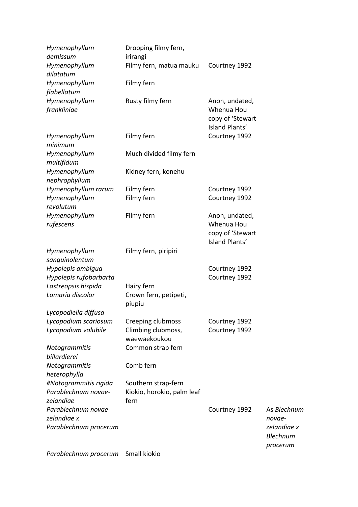| Hymenophyllum<br>demissum                                   | Drooping filmy fern,<br>irirangi                          |                                                                    |                                                         |
|-------------------------------------------------------------|-----------------------------------------------------------|--------------------------------------------------------------------|---------------------------------------------------------|
| Hymenophyllum<br>dilatatum                                  | Filmy fern, matua mauku                                   | Courtney 1992                                                      |                                                         |
| Hymenophyllum<br>flabellatum                                | Filmy fern                                                |                                                                    |                                                         |
| Hymenophyllum<br>frankliniae                                | Rusty filmy fern                                          | Anon, undated,<br>Whenua Hou<br>copy of 'Stewart<br>Island Plants' |                                                         |
| Hymenophyllum<br>minimum                                    | Filmy fern                                                | Courtney 1992                                                      |                                                         |
| Hymenophyllum<br>multifidum                                 | Much divided filmy fern                                   |                                                                    |                                                         |
| Hymenophyllum<br>nephrophyllum                              | Kidney fern, konehu                                       |                                                                    |                                                         |
| Hymenophyllum rarum                                         | Filmy fern                                                | Courtney 1992                                                      |                                                         |
| Hymenophyllum<br>revolutum                                  | Filmy fern                                                | Courtney 1992                                                      |                                                         |
| Hymenophyllum<br>rufescens                                  | Filmy fern                                                | Anon, undated,<br>Whenua Hou<br>copy of 'Stewart<br>Island Plants' |                                                         |
| Hymenophyllum<br>sanguinolentum                             | Filmy fern, piripiri                                      |                                                                    |                                                         |
| Hypolepis ambigua<br>Hypolepis rufobarbarta                 |                                                           | Courtney 1992<br>Courtney 1992                                     |                                                         |
| Lastreopsis hispida<br>Lomaria discolor                     | Hairy fern<br>Crown fern, petipeti,<br>piupiu             |                                                                    |                                                         |
| Lycopodiella diffusa                                        |                                                           |                                                                    |                                                         |
| Lycopodium scariosum<br>Lycopodium volubile                 | Creeping clubmoss<br>Climbing clubmoss,<br>waewaekoukou   | Courtney 1992<br>Courtney 1992                                     |                                                         |
| Notogrammitis<br>billardierei                               | Common strap fern                                         |                                                                    |                                                         |
| Notogrammitis<br>heterophylla                               | Comb fern                                                 |                                                                    |                                                         |
| #Notogrammitis rigida<br>Parablechnum novae-<br>zelandiae   | Southern strap-fern<br>Kiokio, horokio, palm leaf<br>fern |                                                                    |                                                         |
| Parablechnum novae-<br>zelandiae x<br>Parablechnum procerum |                                                           | Courtney 1992                                                      | As Blechnum<br>novae-<br>zelandiae x<br><b>Blechnum</b> |
|                                                             |                                                           |                                                                    | procerum                                                |

*Parablechnum procerum* Small kiokio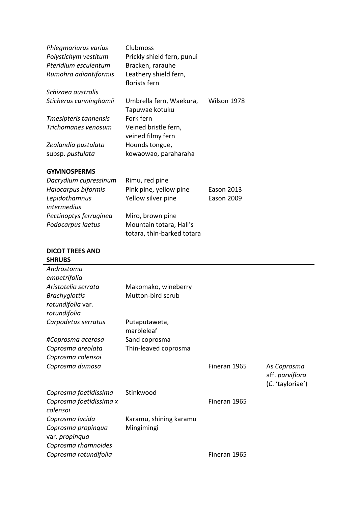| Phlegmariurus varius   | Clubmoss                   |             |
|------------------------|----------------------------|-------------|
| Polystichym vestitum   | Prickly shield fern, punui |             |
| Pteridium esculentum   | Bracken, rarauhe           |             |
| Rumohra adiantiformis  | Leathery shield fern,      |             |
|                        | florists fern              |             |
| Schizaea australis     |                            |             |
| Sticherus cunninghamii | Umbrella fern, Waekura,    | Wilson 1978 |
|                        | Tapuwae kotuku             |             |
| Tmesipteris tannensis  | Fork fern                  |             |
| Trichomanes venosum    | Veined bristle fern,       |             |
|                        | veined filmy fern          |             |
| Zealandia pustulata    | Hounds tongue,             |             |
| subsp. pustulata       | kowaowao, paraharaha       |             |

#### **GYMNOSPERMS**

| Dacrydium cupressinum  | Rimu, red pine             |                   |
|------------------------|----------------------------|-------------------|
| Halocarpus biformis    | Pink pine, yellow pine     | <b>Eason 2013</b> |
| Lepidothamnus          | Yellow silver pine         | <b>Eason 2009</b> |
| intermedius            |                            |                   |
| Pectinoptys ferruginea | Miro, brown pine           |                   |
| Podocarpus laetus      | Mountain totara, Hall's    |                   |
|                        | totara, thin-barked totara |                   |

## **DICOT TREES AND SHRUBS**

| Androstoma              |                        |              |                  |
|-------------------------|------------------------|--------------|------------------|
| empetrifolia            |                        |              |                  |
| Aristotelia serrata     | Makomako, wineberry    |              |                  |
| <b>Brachyglottis</b>    | Mutton-bird scrub      |              |                  |
| rotundifolia var.       |                        |              |                  |
| rotundifolia            |                        |              |                  |
| Carpodetus serratus     | Putaputaweta,          |              |                  |
|                         | marbleleaf             |              |                  |
| #Coprosma acerosa       | Sand coprosma          |              |                  |
| Coprosma areolata       | Thin-leaved coprosma   |              |                  |
| Coprosma colensoi       |                        |              |                  |
| Coprosma dumosa         |                        | Fineran 1965 | As Coprosma      |
|                         |                        |              | aff. parviflora  |
|                         |                        |              | (C. 'tayloriae') |
| Coprosma foetidissima   | Stinkwood              |              |                  |
| Coprosma foetidissima x |                        | Fineran 1965 |                  |
| colensoi                |                        |              |                  |
| Coprosma lucida         | Karamu, shining karamu |              |                  |
| Coprosma propinqua      | Mingimingi             |              |                  |
| var. propinqua          |                        |              |                  |
| Coprosma rhamnoides     |                        |              |                  |
| Coprosma rotundifolia   |                        | Fineran 1965 |                  |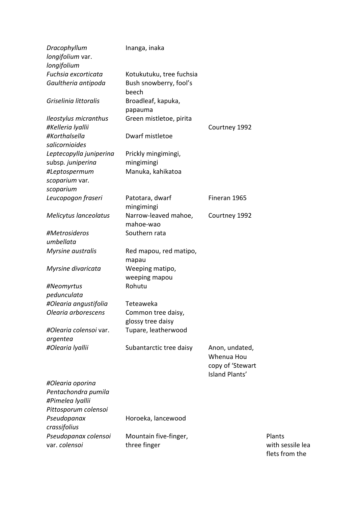| Dracophyllum            | Inanga, inaka                         |                  |
|-------------------------|---------------------------------------|------------------|
| longifolium var.        |                                       |                  |
| longifolium             |                                       |                  |
| Fuchsia excorticata     | Kotukutuku, tree fuchsia              |                  |
| Gaultheria antipoda     | Bush snowberry, fool's                |                  |
|                         | beech                                 |                  |
| Griselinia littoralis   | Broadleaf, kapuka,                    |                  |
|                         | papauma                               |                  |
| Ileostylus micranthus   | Green mistletoe, pirita               |                  |
| #Kelleria lyallii       |                                       | Courtney 1992    |
| #Korthalsella           | Dwarf mistletoe                       |                  |
| salicornioides          |                                       |                  |
| Leptecopylla juniperina | Prickly mingimingi,                   |                  |
| subsp. juniperina       | mingimingi                            |                  |
| #Leptospermum           | Manuka, kahikatoa                     |                  |
| scoparium var.          |                                       |                  |
| scoparium               |                                       |                  |
| Leucopogon fraseri      | Patotara, dwarf                       | Fineran 1965     |
|                         | mingimingi                            |                  |
| Melicytus lanceolatus   | Narrow-leaved mahoe,                  | Courtney 1992    |
|                         | mahoe-wao                             |                  |
| #Metrosideros           | Southern rata                         |                  |
| umbellata               |                                       |                  |
| Myrsine australis       | Red mapou, red matipo,                |                  |
|                         | mapau                                 |                  |
| Myrsine divaricata      | Weeping matipo,                       |                  |
|                         | weeping mapou                         |                  |
| #Neomyrtus              | Rohutu                                |                  |
| pedunculata             |                                       |                  |
| #Olearia angustifolia   | Teteaweka                             |                  |
| Olearia arborescens     | Common tree daisy,                    |                  |
|                         | glossy tree daisy                     |                  |
| #Olearia colensoi var.  | Tupare, leatherwood                   |                  |
| argentea                |                                       |                  |
| #Olearia Iyallii        | Subantarctic tree daisy               | Anon, undated,   |
|                         |                                       | Whenua Hou       |
|                         |                                       | copy of 'Stewart |
|                         |                                       | Island Plants'   |
| #Olearia oporina        |                                       |                  |
| Pentachondra pumila     |                                       |                  |
| #Pimelea Iyallii        |                                       |                  |
| Pittosporum colensoi    |                                       |                  |
| Pseudopanax             | Horoeka, lancewood                    |                  |
| crassifolius            |                                       |                  |
| Pseudopanax colensoi    |                                       |                  |
| var. colensoi           | Mountain five-finger,<br>three finger |                  |

Plants with sessile lea flets from the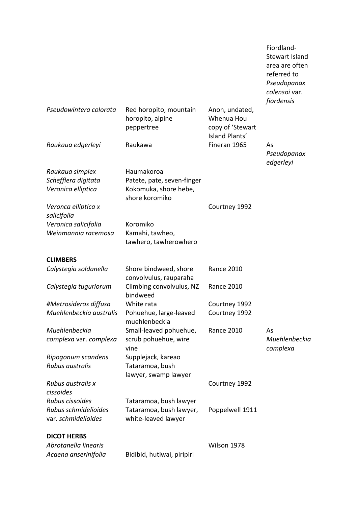|                                             |                                                          |                                                                    | Fiordland-<br><b>Stewart Island</b><br>area are often<br>referred to<br>Pseudopanax<br>colensoi var.<br>fiordensis |
|---------------------------------------------|----------------------------------------------------------|--------------------------------------------------------------------|--------------------------------------------------------------------------------------------------------------------|
| Pseudowintera colorata                      | Red horopito, mountain<br>horopito, alpine<br>peppertree | Anon, undated,<br>Whenua Hou<br>copy of 'Stewart<br>Island Plants' |                                                                                                                    |
| Raukaua edgerleyi                           | Raukawa                                                  | Fineran 1965                                                       | As<br>Pseudopanax<br>edgerleyi                                                                                     |
| Raukaua simplex                             | Haumakoroa                                               |                                                                    |                                                                                                                    |
| Schefflera digitata                         | Patete, pate, seven-finger                               |                                                                    |                                                                                                                    |
| Veronica elliptica                          | Kokomuka, shore hebe,<br>shore koromiko                  |                                                                    |                                                                                                                    |
| Veronca elliptica x                         |                                                          | Courtney 1992                                                      |                                                                                                                    |
| salicifolia                                 |                                                          |                                                                    |                                                                                                                    |
| Veronica salicifolia                        | Koromiko                                                 |                                                                    |                                                                                                                    |
| Weinmannia racemosa                         | Kamahi, tawheo,<br>tawhero, tawherowhero                 |                                                                    |                                                                                                                    |
| <b>CLIMBERS</b>                             |                                                          |                                                                    |                                                                                                                    |
| Calystegia soldanella                       | Shore bindweed, shore<br>convolvulus, rauparaha          | <b>Rance 2010</b>                                                  |                                                                                                                    |
| Calystegia tuguriorum                       | Climbing convolvulus, NZ<br>bindweed                     | <b>Rance 2010</b>                                                  |                                                                                                                    |
| #Metrosideros diffusa                       | White rata                                               | Courtney 1992                                                      |                                                                                                                    |
| Muehlenbeckia australis                     | Pohuehue, large-leaved<br>muehlenbeckia                  | Courtney 1992                                                      |                                                                                                                    |
| Muehlenbeckia                               | Small-leaved pohuehue,                                   | <b>Rance 2010</b>                                                  | As                                                                                                                 |
| complexa var. complexa                      | scrub pohuehue, wire<br>vine                             |                                                                    | Muehlenbeckia<br>complexa                                                                                          |
| Ripogonum scandens                          | Supplejack, kareao                                       |                                                                    |                                                                                                                    |
| Rubus australis                             | Tataramoa, bush<br>lawyer, swamp lawyer                  |                                                                    |                                                                                                                    |
| Rubus australis x                           |                                                          | Courtney 1992                                                      |                                                                                                                    |
| cissoides                                   |                                                          |                                                                    |                                                                                                                    |
| Rubus cissoides                             | Tataramoa, bush lawyer                                   |                                                                    |                                                                                                                    |
| Rubus schmidelioides<br>var. schmidelioides | Tataramoa, bush lawyer,<br>white-leaved lawyer           | Poppelwell 1911                                                    |                                                                                                                    |
| <b>DICOT HERBS</b>                          |                                                          |                                                                    |                                                                                                                    |
| Abrotanella linearis                        |                                                          | Wilson 1978                                                        |                                                                                                                    |
| Acaena anserinifolia                        | Bidibid, hutiwai, piripiri                               |                                                                    |                                                                                                                    |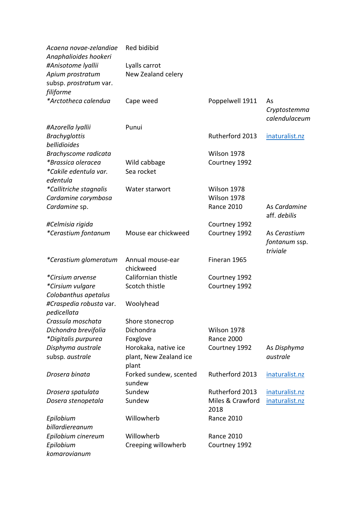| Acaena novae-zelandiae<br>Anaphalioides hookeri                  | Red bidibid                                             |                          |                                           |
|------------------------------------------------------------------|---------------------------------------------------------|--------------------------|-------------------------------------------|
| #Anisotome lyallii<br>Apium prostratum<br>subsp. prostratum var. | Lyalls carrot<br>New Zealand celery                     |                          |                                           |
| filiforme                                                        |                                                         |                          |                                           |
| *Arctotheca calendua                                             | Cape weed                                               | Poppelwell 1911          | As<br>Cryptostemma<br>calendulaceum       |
| #Azorella lyallii                                                | Punui                                                   |                          |                                           |
| <b>Brachyglottis</b><br>bellidioides                             |                                                         | Rutherford 2013          | inaturalist.nz                            |
| Brachyscome radicata                                             |                                                         | Wilson 1978              |                                           |
| *Brassica oleracea<br>*Cakile edentula var.<br>edentula          | Wild cabbage<br>Sea rocket                              | Courtney 1992            |                                           |
| *Callitriche stagnalis                                           | Water starwort                                          | Wilson 1978              |                                           |
| Cardamine corymbosa                                              |                                                         | Wilson 1978              |                                           |
| Cardamine sp.                                                    |                                                         | <b>Rance 2010</b>        | As Cardamine<br>aff. debilis              |
| #Celmisia rigida                                                 |                                                         | Courtney 1992            |                                           |
| <i>*Cerastium fontanum</i>                                       | Mouse ear chickweed                                     | Courtney 1992            | As Cerastium<br>fontanum ssp.<br>triviale |
| *Cerastium glomeratum                                            | Annual mouse-ear<br>chickweed                           | Fineran 1965             |                                           |
| *Cirsium arvense                                                 | Californian thistle                                     | Courtney 1992            |                                           |
| *Cirsium vulgare                                                 | Scotch thistle                                          | Courtney 1992            |                                           |
| Colobanthus apetalus                                             |                                                         |                          |                                           |
| #Craspedia robusta var.<br>pedicellata                           | Woolyhead                                               |                          |                                           |
| Crassula moschata                                                | Shore stonecrop                                         |                          |                                           |
| Dichondra brevifolia                                             | Dichondra                                               | Wilson 1978              |                                           |
| *Digitalis purpurea                                              | Foxglove                                                | <b>Rance 2000</b>        |                                           |
| Disphyma australe<br>subsp. australe                             | Horokaka, native ice<br>plant, New Zealand ice<br>plant | Courtney 1992            | As Disphyma<br>australe                   |
| Drosera binata                                                   | Forked sundew, scented<br>sundew                        | Rutherford 2013          | inaturalist.nz                            |
| Drosera spatulata                                                | Sundew                                                  | Rutherford 2013          | inaturalist.nz                            |
| Dosera stenopetala                                               | Sundew                                                  | Miles & Crawford<br>2018 | inaturalist.nz                            |
| Epilobium                                                        | Willowherb                                              | <b>Rance 2010</b>        |                                           |
| billardiereanum                                                  |                                                         |                          |                                           |
| Epilobium cinereum                                               | Willowherb                                              | <b>Rance 2010</b>        |                                           |
| Epilobium<br>komarovianum                                        | Creeping willowherb                                     | Courtney 1992            |                                           |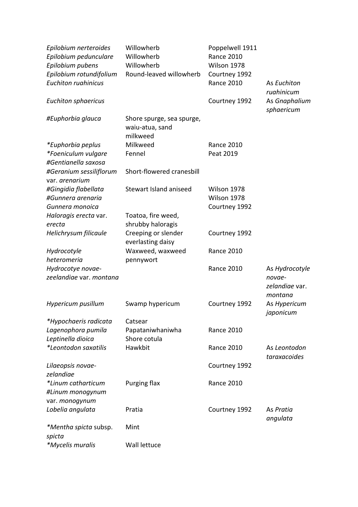| Epilobium nerteroides<br>Epilobium pedunculare<br>Epilobium pubens<br>Epilobium rotundifolium<br><b>Euchiton ruahinicus</b> | Willowherb<br>Willowherb<br>Willowherb<br>Round-leaved willowherb | Poppelwell 1911<br><b>Rance 2010</b><br>Wilson 1978<br>Courtney 1992<br><b>Rance 2010</b> | As Euchiton                               |
|-----------------------------------------------------------------------------------------------------------------------------|-------------------------------------------------------------------|-------------------------------------------------------------------------------------------|-------------------------------------------|
| <b>Euchiton sphaericus</b>                                                                                                  |                                                                   | Courtney 1992                                                                             | ruahinicum<br>As Gnaphalium<br>sphaericum |
| #Euphorbia glauca                                                                                                           | Shore spurge, sea spurge,<br>waiu-atua, sand<br>milkweed          |                                                                                           |                                           |
| *Euphorbia peplus                                                                                                           | Milkweed                                                          | <b>Rance 2010</b>                                                                         |                                           |
|                                                                                                                             | Fennel                                                            | Peat 2019                                                                                 |                                           |
| *Foeniculum vulgare<br>#Gentianella saxosa                                                                                  |                                                                   |                                                                                           |                                           |
|                                                                                                                             |                                                                   |                                                                                           |                                           |
| #Geranium sessiliflorum<br>var. arenarium                                                                                   | Short-flowered cranesbill                                         |                                                                                           |                                           |
| #Gingidia flabellata                                                                                                        | Stewart Island aniseed                                            | Wilson 1978                                                                               |                                           |
| #Gunnera arenaria                                                                                                           |                                                                   | Wilson 1978                                                                               |                                           |
| Gunnera monoica                                                                                                             |                                                                   | Courtney 1992                                                                             |                                           |
| Haloragis erecta var.                                                                                                       | Toatoa, fire weed,                                                |                                                                                           |                                           |
| erecta                                                                                                                      | shrubby haloragis                                                 |                                                                                           |                                           |
| Helichrysum filicaule                                                                                                       | Creeping or slender<br>everlasting daisy                          | Courtney 1992                                                                             |                                           |
| Hydrocotyle                                                                                                                 | Waxweed, waxweed                                                  | <b>Rance 2010</b>                                                                         |                                           |
| heteromeria                                                                                                                 | pennywort                                                         |                                                                                           |                                           |
| Hydrocotye novae-                                                                                                           |                                                                   | <b>Rance 2010</b>                                                                         | As Hydrocotyle                            |
| zeelandiae var. montana                                                                                                     |                                                                   |                                                                                           | novae-<br>zelandiae var.<br>montana       |
| Hypericum pusillum                                                                                                          | Swamp hypericum                                                   | Courtney 1992                                                                             | As Hypericum<br>japonicum                 |
| *Hypochaeris radicata                                                                                                       | Catsear                                                           |                                                                                           |                                           |
| Lagenophora pumila                                                                                                          | Papataniwhaniwha                                                  | <b>Rance 2010</b>                                                                         |                                           |
| Leptinella dioica                                                                                                           | Shore cotula                                                      |                                                                                           |                                           |
| *Leontodon saxatilis                                                                                                        | Hawkbit                                                           | <b>Rance 2010</b>                                                                         | As Leontodon<br>taraxacoides              |
| Lilaeopsis novae-                                                                                                           |                                                                   | Courtney 1992                                                                             |                                           |
| zelandiae                                                                                                                   |                                                                   |                                                                                           |                                           |
| *Linum catharticum                                                                                                          | Purging flax                                                      | <b>Rance 2010</b>                                                                         |                                           |
| #Linum monogynum                                                                                                            |                                                                   |                                                                                           |                                           |
| var. monogynum                                                                                                              |                                                                   |                                                                                           |                                           |
| Lobelia angulata                                                                                                            | Pratia                                                            | Courtney 1992                                                                             | As Pratia                                 |
|                                                                                                                             |                                                                   |                                                                                           | angulata                                  |
| <i>*Mentha spicta subsp.</i>                                                                                                | Mint                                                              |                                                                                           |                                           |
| spicta                                                                                                                      |                                                                   |                                                                                           |                                           |
| *Mycelis muralis                                                                                                            | Wall lettuce                                                      |                                                                                           |                                           |
|                                                                                                                             |                                                                   |                                                                                           |                                           |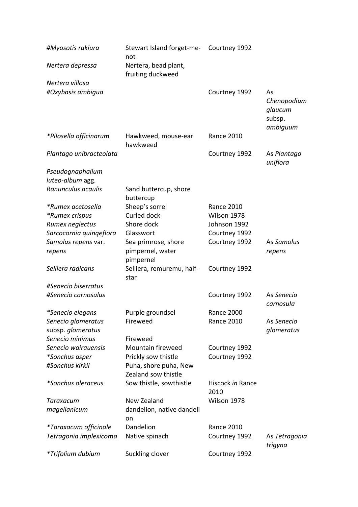| #Myosotis rakiura       | Stewart Island forget-me-<br>not             | Courtney 1992            |                                                    |
|-------------------------|----------------------------------------------|--------------------------|----------------------------------------------------|
| Nertera depressa        | Nertera, bead plant,<br>fruiting duckweed    |                          |                                                    |
| Nertera villosa         |                                              |                          |                                                    |
| #Oxybasis ambigua       |                                              | Courtney 1992            | As<br>Chenopodium<br>glaucum<br>subsp.<br>ambiguum |
| *Pilosella officinarum  | Hawkweed, mouse-ear<br>hawkweed              | <b>Rance 2010</b>        |                                                    |
| Plantago unibracteolata |                                              | Courtney 1992            | As Plantago<br>uniflora                            |
| Pseudognaphalium        |                                              |                          |                                                    |
| luteo-album agg.        |                                              |                          |                                                    |
| Ranunculus acaulis      | Sand buttercup, shore<br>buttercup           |                          |                                                    |
| *Rumex acetosella       | Sheep's sorrel                               | <b>Rance 2010</b>        |                                                    |
| *Rumex crispus          | Curled dock                                  | Wilson 1978              |                                                    |
| Rumex neglectus         | Shore dock                                   | Johnson 1992             |                                                    |
| Sarcocornia quingeflora | Glasswort                                    | Courtney 1992            |                                                    |
| Samolus repens var.     | Sea primrose, shore                          | Courtney 1992            | As Samolus                                         |
| repens                  | pimpernel, water<br>pimpernel                |                          | repens                                             |
| Selliera radicans       | Selliera, remuremu, half-<br>star            | Courtney 1992            |                                                    |
| #Senecio biserratus     |                                              |                          |                                                    |
| #Senecio carnosulus     |                                              | Courtney 1992            | As Senecio<br>carnosula                            |
| *Senecio elegans        | Purple groundsel                             | <b>Rance 2000</b>        |                                                    |
| Senecio glomeratus      | Fireweed                                     | <b>Rance 2010</b>        | As Senecio                                         |
| subsp. glomeratus       |                                              |                          | glomeratus                                         |
| Senecio minimus         | Fireweed                                     |                          |                                                    |
| Senecio wairauensis     | Mountain fireweed                            | Courtney 1992            |                                                    |
| *Sonchus asper          | Prickly sow thistle                          | Courtney 1992            |                                                    |
| #Sonchus kirkii         | Puha, shore puha, New<br>Zealand sow thistle |                          |                                                    |
| *Sonchus oleraceus      | Sow thistle, sowthistle                      | Hiscock in Rance<br>2010 |                                                    |
| Taraxacum               | New Zealand                                  | Wilson 1978              |                                                    |
| magellanicum            | dandelion, native dandeli                    |                          |                                                    |
|                         | on                                           |                          |                                                    |
| *Taraxacum officinale   | Dandelion                                    | <b>Rance 2010</b>        |                                                    |
| Tetragonia implexicoma  | Native spinach                               | Courtney 1992            | As Tetragonia<br>trigyna                           |
| *Trifolium dubium       | Suckling clover                              | Courtney 1992            |                                                    |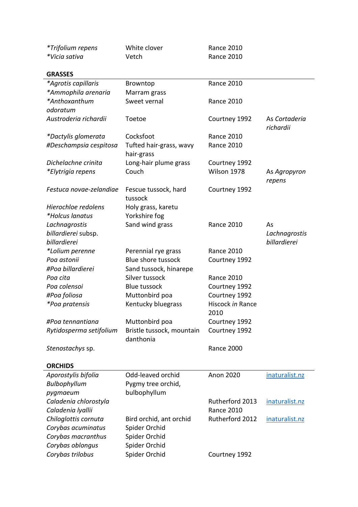| *Trifolium repens       | White clover                           | <b>Rance 2010</b>        |                            |
|-------------------------|----------------------------------------|--------------------------|----------------------------|
| *Vicia sativa           | Vetch                                  | <b>Rance 2010</b>        |                            |
| <b>GRASSES</b>          |                                        |                          |                            |
| *Agrotis capillaris     | Browntop                               | <b>Rance 2010</b>        |                            |
| *Ammophila arenaria     | Marram grass                           |                          |                            |
| *Anthoxanthum           | Sweet vernal                           | <b>Rance 2010</b>        |                            |
| odoratum                |                                        |                          |                            |
| Austroderia richardii   | Toetoe                                 | Courtney 1992            | As Cortaderia<br>richardii |
| *Dactylis glomerata     | Cocksfoot                              | <b>Rance 2010</b>        |                            |
| #Deschampsia cespitosa  | Tufted hair-grass, wavy<br>hair-grass  | <b>Rance 2010</b>        |                            |
| Dichelachne crinita     | Long-hair plume grass                  | Courtney 1992            |                            |
| *Elytrigia repens       | Couch                                  | Wilson 1978              | As Agropyron<br>repens     |
| Festuca novae-zelandiae | Fescue tussock, hard<br>tussock        | Courtney 1992            |                            |
| Hierochloe redolens     | Holy grass, karetu                     |                          |                            |
| *Holcus lanatus         | Yorkshire fog                          |                          |                            |
| Lachnagrostis           | Sand wind grass                        | <b>Rance 2010</b>        | As                         |
| billardierei subsp.     |                                        |                          | Lachnagrostis              |
| billardierei            |                                        |                          | billardierei               |
| *Lolium perenne         | Perennial rye grass                    | <b>Rance 2010</b>        |                            |
| Poa astonii             | <b>Blue shore tussock</b>              | Courtney 1992            |                            |
| #Poa billardierei       | Sand tussock, hinarepe                 |                          |                            |
| Poa cita                | Silver tussock                         | <b>Rance 2010</b>        |                            |
| Poa colensoi            | <b>Blue tussock</b>                    | Courtney 1992            |                            |
| #Poa foliosa            | Muttonbird poa                         | Courtney 1992            |                            |
| <i>*Poa pratensis</i>   | Kentucky bluegrass                     | Hiscock in Rance<br>2010 |                            |
| #Poa tennantiana        | Muttonbird poa                         | Courtney 1992            |                            |
| Rytidosperma setifolium | Bristle tussock, mountain<br>danthonia | Courtney 1992            |                            |
| Stenostachys sp.        |                                        | <b>Rance 2000</b>        |                            |
| <b>ORCHIDS</b>          |                                        |                          |                            |
| Aporostylis bifolia     | Odd-leaved orchid                      | <b>Anon 2020</b>         | inaturalist.nz             |
| Bulbophyllum            | Pygmy tree orchid,                     |                          |                            |
| pygmaeum                | bulbophyllum                           |                          |                            |
| Caladenia chlorostyla   |                                        | Rutherford 2013          | inaturalist.nz             |
| Caladenia Iyallii       |                                        | <b>Rance 2010</b>        |                            |
| Chiloglottis cornuta    | Bird orchid, ant orchid                | Rutherford 2012          | inaturalist.nz             |
| Corybas acuminatus      | Spider Orchid                          |                          |                            |
| Corybas macranthus      | Spider Orchid                          |                          |                            |
| Corybas oblongus        | Spider Orchid                          |                          |                            |
| Corybas trilobus        | Spider Orchid                          | Courtney 1992            |                            |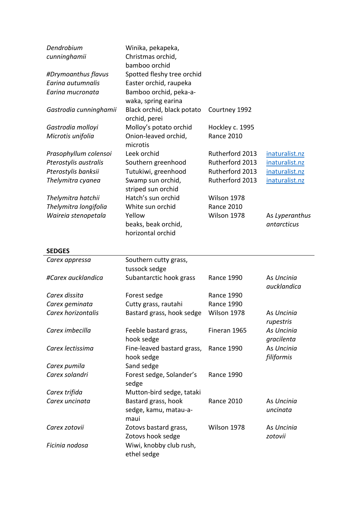| cunninghamii           |                                        |                   |                |
|------------------------|----------------------------------------|-------------------|----------------|
|                        | Christmas orchid,                      |                   |                |
|                        | bamboo orchid                          |                   |                |
| #Drymoanthus flavus    | Spotted fleshy tree orchid             |                   |                |
| Earina autumnalis      | Easter orchid, raupeka                 |                   |                |
| Earina mucronata       | Bamboo orchid, peka-a-                 |                   |                |
|                        | waka, spring earina                    |                   |                |
| Gastrodia cunninghamii | Black orchid, black potato             | Courtney 1992     |                |
|                        | orchid, perei                          |                   |                |
| Gastrodia molloyi      | Molloy's potato orchid                 | Hockley c. 1995   |                |
| Microtis unifolia      | Onion-leaved orchid,<br>microtis       | <b>Rance 2010</b> |                |
| Prasophyllum colensoi  | Leek orchid                            | Rutherford 2013   | inaturalist.nz |
| Pterostylis australis  | Southern greenhood                     | Rutherford 2013   | inaturalist.nz |
| Pterostylis banksii    | Tutukiwi, greenhood                    | Rutherford 2013   | inaturalist.nz |
| Thelymitra cyanea      | Swamp sun orchid,                      | Rutherford 2013   | inaturalist.nz |
|                        | striped sun orchid                     |                   |                |
| Thelymitra hatchii     | Hatch's sun orchid                     | Wilson 1978       |                |
| Thelymitra longifolia  | White sun orchid                       | <b>Rance 2010</b> |                |
| Waireia stenopetala    | Yellow                                 | Wilson 1978       | As Lyperanthus |
|                        | beaks, beak orchid,                    |                   | antarcticus    |
|                        | horizontal orchid                      |                   |                |
|                        |                                        |                   |                |
| <b>SEDGES</b>          |                                        |                   |                |
| Carex appressa         | Southern cutty grass,                  |                   |                |
|                        | tussock sedge                          |                   |                |
| #Carex aucklandica     | Subantarctic hook grass                | <b>Rance 1990</b> | As Uncinia     |
|                        |                                        |                   | aucklandica    |
| Carex dissita          | Forest sedge                           | <b>Rance 1990</b> |                |
| Carex geminata         | Cutty grass, rautahi                   | <b>Rance 1990</b> |                |
| Carex horizontalis     | Bastard grass, hook sedge              | Wilson 1978       | As Uncinia     |
|                        |                                        |                   | rupestris      |
| Carex imbecilla        | Feeble bastard grass,                  | Fineran 1965      | As Uncinia     |
|                        | hook sedge                             |                   | gracilenta     |
| Carex lectissima       | Fine-leaved bastard grass,             | <b>Rance 1990</b> | As Uncinia     |
|                        | hook sedge                             |                   | filiformis     |
| Carex pumila           | Sand sedge                             |                   |                |
| Carex solandri         | Forest sedge, Solander's<br>sedge      | <b>Rance 1990</b> |                |
| Carex trifida          | Mutton-bird sedge, tataki              |                   |                |
| Carex uncinata         | Bastard grass, hook                    | <b>Rance 2010</b> | As Uncinia     |
|                        | sedge, kamu, matau-a-                  |                   | uncinata       |
|                        | maui                                   |                   |                |
| Carex zotovii          | Zotovs bastard grass,                  | Wilson 1978       | As Uncinia     |
|                        | Zotovs hook sedge                      |                   | zotovii        |
| Ficinia nodosa         | Wiwi, knobby club rush,<br>ethel sedge |                   |                |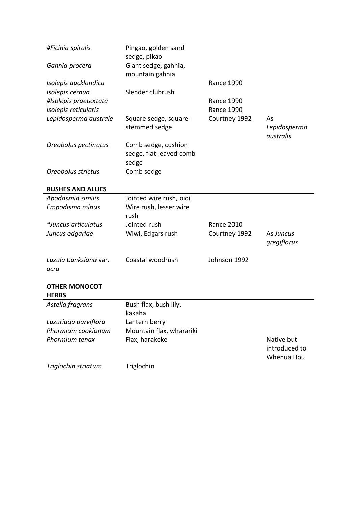| #Ficinia spiralis        | Pingao, golden sand<br>sedge, pikao     |                   |                                           |
|--------------------------|-----------------------------------------|-------------------|-------------------------------------------|
| Gahnia procera           | Giant sedge, gahnia,<br>mountain gahnia |                   |                                           |
| Isolepis aucklandica     |                                         | <b>Rance 1990</b> |                                           |
| Isolepis cernua          | Slender clubrush                        |                   |                                           |
| #Isolepis praetextata    |                                         | <b>Rance 1990</b> |                                           |
| Isolepis reticularis     |                                         | <b>Rance 1990</b> |                                           |
| Lepidosperma australe    | Square sedge, square-<br>stemmed sedge  | Courtney 1992     | As<br>Lepidosperma<br>australis           |
| Oreobolus pectinatus     | Comb sedge, cushion                     |                   |                                           |
|                          | sedge, flat-leaved comb                 |                   |                                           |
|                          | sedge                                   |                   |                                           |
| Oreobolus strictus       | Comb sedge                              |                   |                                           |
|                          |                                         |                   |                                           |
| <b>RUSHES AND ALLIES</b> |                                         |                   |                                           |
| Apodasmia similis        | Jointed wire rush, oioi                 |                   |                                           |
| Empodisma minus          | Wire rush, lesser wire                  |                   |                                           |
|                          | rush                                    |                   |                                           |
| *Juncus articulatus      | Jointed rush                            | <b>Rance 2010</b> |                                           |
| Juncus edgariae          | Wiwi, Edgars rush                       | Courtney 1992     | As Juncus                                 |
|                          |                                         |                   | gregiflorus                               |
| Luzula banksiana var.    | Coastal woodrush                        | Johnson 1992      |                                           |
| acra                     |                                         |                   |                                           |
|                          |                                         |                   |                                           |
| <b>OTHER MONOCOT</b>     |                                         |                   |                                           |
| <b>HERBS</b>             |                                         |                   |                                           |
| Astelia fragrans         | Bush flax, bush lily,                   |                   |                                           |
|                          | kakaha                                  |                   |                                           |
| Luzuriaga parviflora     | Lantern berry                           |                   |                                           |
| Phormium cookianum       | Mountain flax, wharariki                |                   |                                           |
| Phormium tenax           | Flax, harakeke                          |                   | Native but<br>introduced to<br>Whenua Hou |
| Triglochin striatum      | Triglochin                              |                   |                                           |
|                          |                                         |                   |                                           |